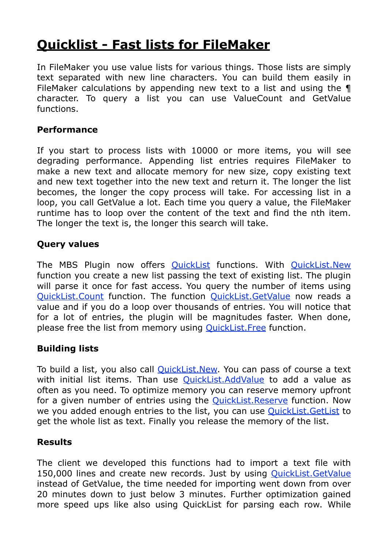# **[Quicklist - Fast lists for FileMaker](http://www.mbsplugins.de/archive/2014-09-29/Quicklist_-_Fast_lists_for_Fil)**

In FileMaker you use value lists for various things. Those lists are simply text separated with new line characters. You can build them easily in FileMaker calculations by appending new text to a list and using the ¶ character. To query a list you can use ValueCount and GetValue functions.

### **Performance**

If you start to process lists with 10000 or more items, you will see degrading performance. Appending list entries requires FileMaker to make a new text and allocate memory for new size, copy existing text and new text together into the new text and return it. The longer the list becomes, the longer the copy process will take. For accessing list in a loop, you call GetValue a lot. Each time you query a value, the FileMaker runtime has to loop over the content of the text and find the nth item. The longer the text is, the longer this search will take.

#### **Query values**

The MBS Plugin now offers [QuickList](http://www.mbsplugins.eu/component_List.shtml) functions. With [QuickList.New](http://www.mbsplugins.eu/QuickListNew.shtml) function you create a new list passing the text of existing list. The plugin will parse it once for fast access. You query the number of items using [QuickList.Count](http://www.mbsplugins.eu/QuickListCount.shtml) function. The function [QuickList.GetValue](http://www.mbsplugins.eu/QuickListGetValue.shtml) now reads a value and if you do a loop over thousands of entries. You will notice that for a lot of entries, the plugin will be magnitudes faster. When done, please free the list from memory using [QuickList.Free](http://www.mbsplugins.eu/QuickListFree.shtml) function.

## **Building lists**

To build a list, you also call [QuickList.New](http://www.mbsplugins.eu/QuickListNew.shtml). You can pass of course a text with initial list items. Than use **QuickList.AddValue** to add a value as often as you need. To optimize memory you can reserve memory upfront for a given number of entries using the **QuickList.Reserve** function. Now we you added enough entries to the list, you can use [QuickList.GetList](http://www.mbsplugins.eu/QuickListGetList.shtml) to get the whole list as text. Finally you release the memory of the list.

#### **Results**

The client we developed this functions had to import a text file with 150,000 lines and create new records. Just by using [QuickList.GetValue](http://www.mbsplugins.eu/QuickListGetValue.shtml) instead of GetValue, the time needed for importing went down from over 20 minutes down to just below 3 minutes. Further optimization gained more speed ups like also using QuickList for parsing each row. While